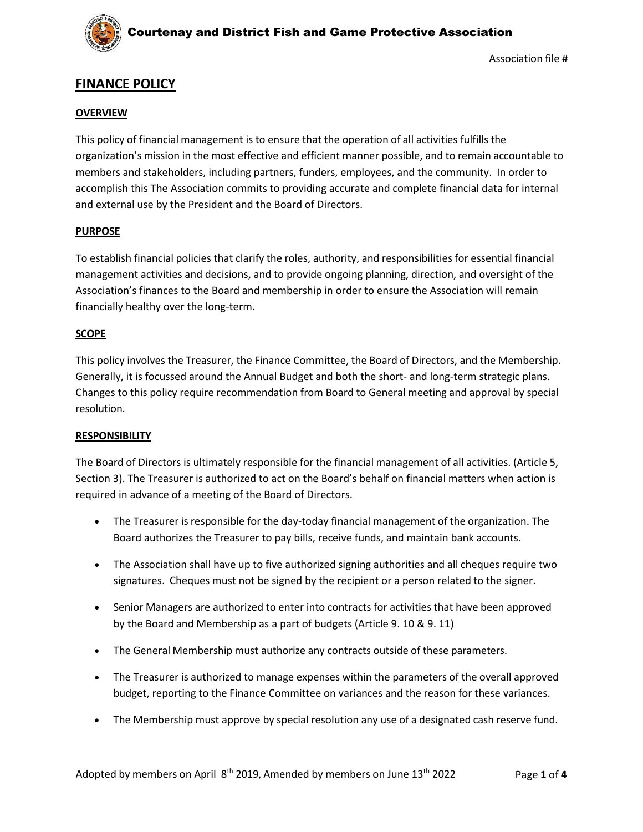

## **FINANCE POLICY**

### **OVERVIEW**

This policy of financial management is to ensure that the operation of all activities fulfills the organization's mission in the most effective and efficient manner possible, and to remain accountable to members and stakeholders, including partners, funders, employees, and the community. In order to accomplish this The Association commits to providing accurate and complete financial data for internal and external use by the President and the Board of Directors.

### **PURPOSE**

To establish financial policies that clarify the roles, authority, and responsibilitiesfor essential financial management activities and decisions, and to provide ongoing planning, direction, and oversight of the Association's finances to the Board and membership in order to ensure the Association will remain financially healthy over the long-term.

### **SCOPE**

This policy involves the Treasurer, the Finance Committee, the Board of Directors, and the Membership. Generally, it is focussed around the Annual Budget and both the short- and long-term strategic plans. Changes to this policy require recommendation from Board to General meeting and approval by special resolution.

### **RESPONSIBILITY**

The Board of Directors is ultimately responsible for the financial management of all activities. (Article 5, Section 3). The Treasurer is authorized to act on the Board's behalf on financial matters when action is required in advance of a meeting of the Board of Directors.

- The Treasurer is responsible for the day-today financial management of the organization. The Board authorizes the Treasurer to pay bills, receive funds, and maintain bank accounts.
- The Association shall have up to five authorized signing authorities and all cheques require two signatures. Cheques must not be signed by the recipient or a person related to the signer.
- Senior Managers are authorized to enter into contracts for activities that have been approved by the Board and Membership as a part of budgets (Article 9. 10 & 9. 11)
- The General Membership must authorize any contracts outside of these parameters.
- The Treasurer is authorized to manage expenses within the parameters of the overall approved budget, reporting to the Finance Committee on variances and the reason for these variances.
- The Membership must approve by special resolution any use of a designated cash reserve fund.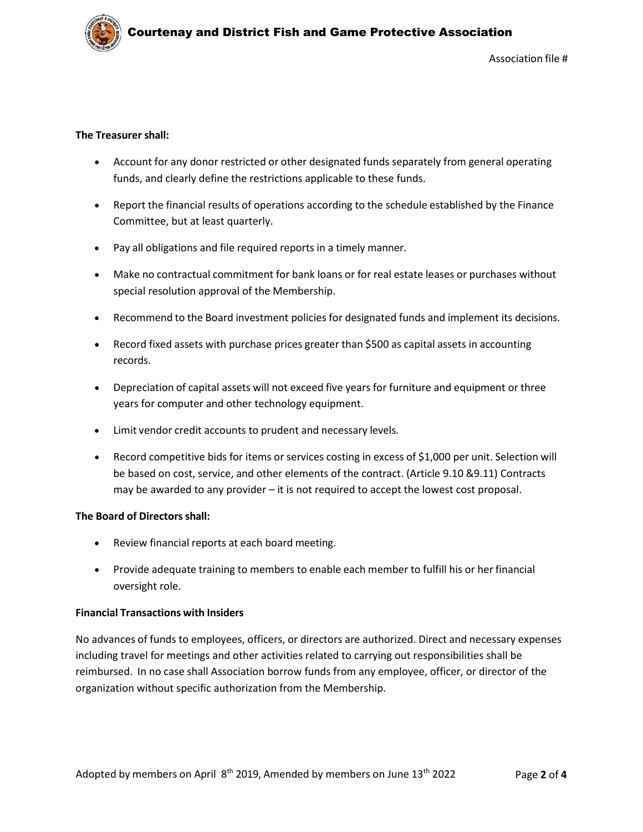

Association file #

### **The Treasurer shall:**

- Account for any donor restricted or other designated funds separately from general operating funds, and clearly define the restrictions applicable to these funds.
- Report the financial results of operations according to the schedule established by the Finance Committee, but at least quarterly.
- Pay all obligations and file required reports in a timely manner.
- Make no contractual commitment for bank loans or for real estate leases or purchases without special resolution approval of the Membership.
- Recommend to the Board investment policies for designated funds and implement its decisions.
- Record fixed assets with purchase prices greater than \$500 as capital assets in accounting records.
- Depreciation of capital assets will not exceed five years for furniture and equipment or three years for computer and other technology equipment.
- Limit vendor credit accounts to prudent and necessary levels.
- Record competitive bids for items or services costing in excess of \$1,000 per unit. Selection will be based on cost, service, and other elements of the contract. (Article 9.10 &9.11) Contracts may be awarded to any provider – it is not required to accept the lowest cost proposal.

### **The Board of Directors shall:**

- Review financial reports at each board meeting.
- Provide adequate training to members to enable each member to fulfill his or her financial oversight role.

### **Financial Transactions with Insiders**

No advances of funds to employees, officers, or directors are authorized. Direct and necessary expenses including travel for meetings and other activities related to carrying out responsibilities shall be reimbursed. In no case shall Association borrow funds from any employee, officer, or director of the organization without specific authorization from the Membership.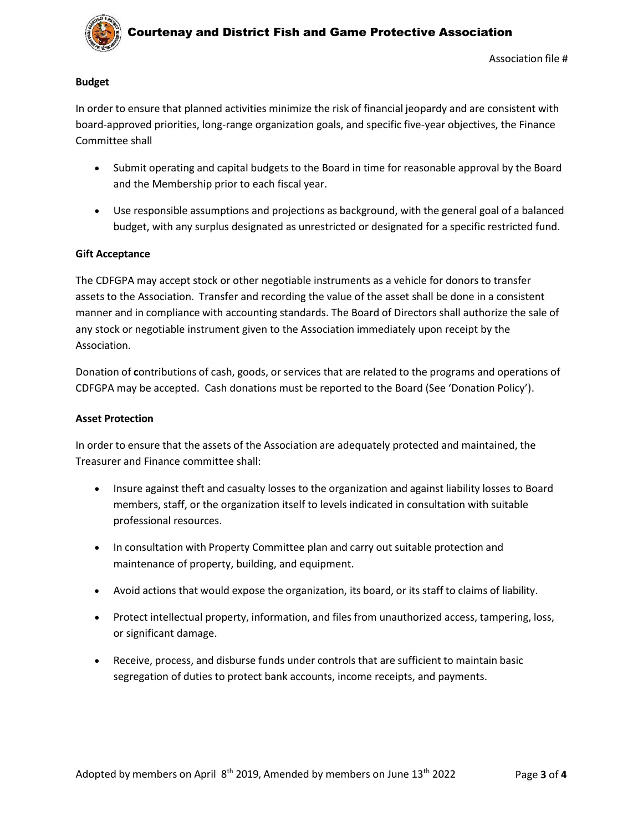

# Courtenay and District Fish and Game Protective Association

### **Budget**

In order to ensure that planned activities minimize the risk of financial jeopardy and are consistent with board-approved priorities, long-range organization goals, and specific five-year objectives, the Finance Committee shall

- Submit operating and capital budgets to the Board in time for reasonable approval by the Board and the Membership prior to each fiscal year.
- Use responsible assumptions and projections as background, with the general goal of a balanced budget, with any surplus designated as unrestricted or designated for a specific restricted fund.

### **Gift Acceptance**

The CDFGPA may accept stock or other negotiable instruments as a vehicle for donors to transfer assets to the Association. Transfer and recording the value of the asset shall be done in a consistent manner and in compliance with accounting standards. The Board of Directors shall authorize the sale of any stock or negotiable instrument given to the Association immediately upon receipt by the Association.

Donation of **c**ontributions of cash, goods, or services that are related to the programs and operations of CDFGPA may be accepted. Cash donations must be reported to the Board (See 'Donation Policy').

### **Asset Protection**

In order to ensure that the assets of the Association are adequately protected and maintained, the Treasurer and Finance committee shall:

- Insure against theft and casualty losses to the organization and against liability losses to Board members, staff, or the organization itself to levels indicated in consultation with suitable professional resources.
- In consultation with Property Committee plan and carry out suitable protection and maintenance of property, building, and equipment.
- Avoid actions that would expose the organization, its board, or its staff to claims of liability.
- Protect intellectual property, information, and files from unauthorized access, tampering, loss, or significant damage.
- Receive, process, and disburse funds under controls that are sufficient to maintain basic segregation of duties to protect bank accounts, income receipts, and payments.